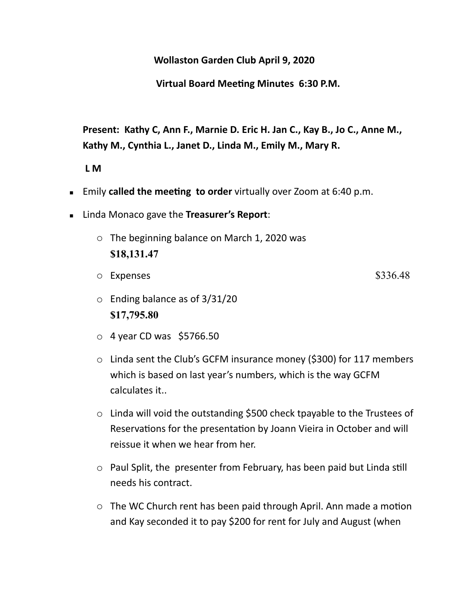**Wollaston Garden Club April 9, 2020** 

**Virtual Board Meeting Minutes 6:30 P.M.** 

**Present: Kathy C, Ann F., Marnie D. Eric H. Jan C., Kay B., Jo C., Anne M., Kathy M., Cynthia L., Janet D., Linda M., Emily M., Mary R.** 

 **L M** 

- **Emily called the meeting to order** virtually over Zoom at 6:40 p.m.
- Linda Monaco gave the **Treasurer's Report**:
	- o The beginning balance on March 1, 2020 was **\$18,131.47**
	- o Expenses \$336.48
	- o Ending balance as of 3/31/20 **\$17,795.80**
	- $\circ$  4 year CD was \$5766.50
	- o Linda sent the Club's GCFM insurance money (\$300) for 117 members which is based on last year's numbers, which is the way GCFM calculates it..
	- o Linda will void the outstanding \$500 check tpayable to the Trustees of Reservations for the presentation by Joann Vieira in October and will reissue it when we hear from her.
	- $\circ$  Paul Split, the presenter from February, has been paid but Linda still needs his contract.
	- $\circ$  The WC Church rent has been paid through April. Ann made a motion and Kay seconded it to pay \$200 for rent for July and August (when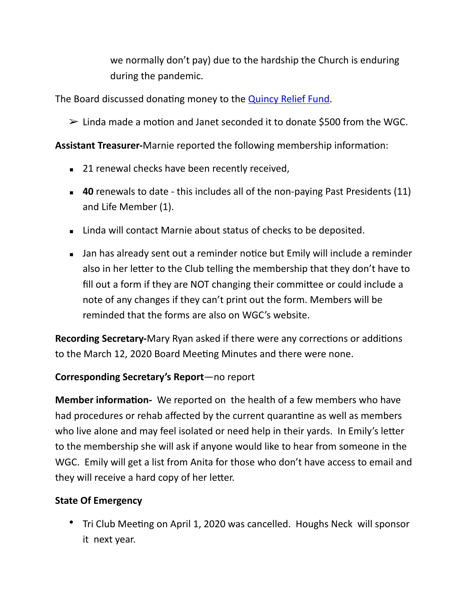we normally don't pay) due to the hardship the Church is enduring during the pandemic.

The Board discussed donating money to the **Quincy Relief Fund**.

 $\geq$  Linda made a motion and Janet seconded it to donate \$500 from the WGC.

**Assistant Treasurer-Marnie reported the following membership information:** 

- 21 renewal checks have been recently received,
- 40 renewals to date this includes all of the non-paying Past Presidents (11) and Life Member (1).
- **EXA** Linda will contact Marnie about status of checks to be deposited.
- I Jan has already sent out a reminder notice but Emily will include a reminder also in her letter to the Club telling the membership that they don't have to fill out a form if they are NOT changing their committee or could include a note of any changes if they can't print out the form. Members will be reminded that the forms are also on WGC's website.

**Recording Secretary-**Mary Ryan asked if there were any corrections or additions to the March 12, 2020 Board Meeting Minutes and there were none.

# **Corresponding Secretary's Report**—no report

**Member information-** We reported on the health of a few members who have had procedures or rehab affected by the current quarantine as well as members who live alone and may feel isolated or need help in their yards. In Emily's letter to the membership she will ask if anyone would like to hear from someone in the WGC. Emily will get a list from Anita for those who don't have access to email and they will receive a hard copy of her letter.

# **State Of Emergency**

• Tri Club Meeting on April 1, 2020 was cancelled. Houghs Neck will sponsor it next year.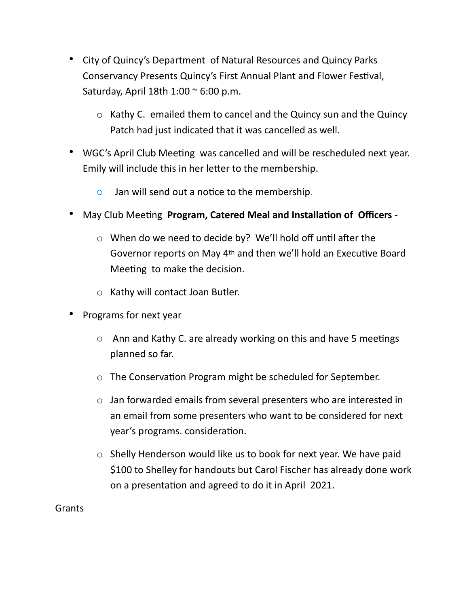- City of Quincy's Department of Natural Resources and Quincy Parks Conservancy Presents Quincy's First Annual Plant and Flower Festival, Saturday, April 18th  $1:00 \approx 6:00$  p.m.
	- o Kathy C. emailed them to cancel and the Quincy sun and the Quincy Patch had just indicated that it was cancelled as well.
- WGC's April Club Meeting was cancelled and will be rescheduled next year. Emily will include this in her letter to the membership.
	- $\circ$  Jan will send out a notice to the membership.
- **May Club Meeting Program, Catered Meal and Installation of Officers -**
	- $\circ$  When do we need to decide by? We'll hold off until after the Governor reports on May 4<sup>th</sup> and then we'll hold an Executive Board Meeting to make the decision.
	- o Kathy will contact Joan Butler.
- Programs for next year
	- $\circ$  Ann and Kathy C. are already working on this and have 5 meetings planned so far.
	- $\circ$  The Conservation Program might be scheduled for September.
	- o Jan forwarded emails from several presenters who are interested in an email from some presenters who want to be considered for next year's programs. consideration.
	- o Shelly Henderson would like us to book for next year. We have paid \$100 to Shelley for handouts but Carol Fischer has already done work on a presentation and agreed to do it in April 2021.

**Grants**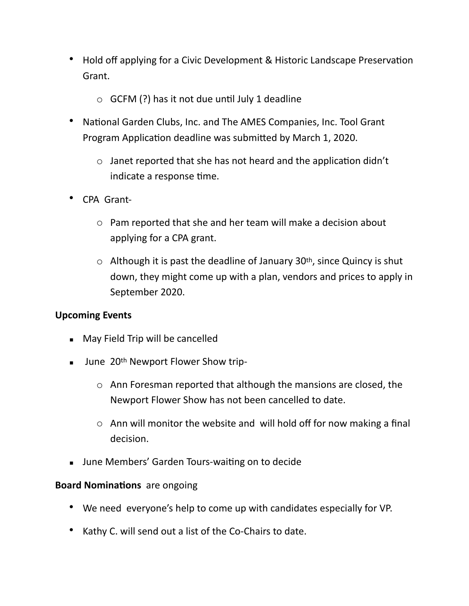- Hold off applying for a Civic Development & Historic Landscape Preservation Grant.
	- $\circ$  GCFM (?) has it not due until July 1 deadline
- National Garden Clubs, Inc. and The AMES Companies, Inc. Tool Grant Program Application deadline was submitted by March 1, 2020.
	- $\circ$  Janet reported that she has not heard and the application didn't indicate a response time.
- CPA Grant
	- o Pam reported that she and her team will make a decision about applying for a CPA grant.
	- $\circ$  Although it is past the deadline of January 30<sup>th</sup>, since Quincy is shut down, they might come up with a plan, vendors and prices to apply in September 2020.

## **Upcoming Events**

- May Field Trip will be cancelled
- **■** June 20<sup>th</sup> Newport Flower Show trip
	- o Ann Foresman reported that although the mansions are closed, the Newport Flower Show has not been cancelled to date.
	- o Ann will monitor the website and will hold off for now making a final decision.
- **■** June Members' Garden Tours-waiting on to decide

## **Board Nominations** are ongoing

- We need everyone's help to come up with candidates especially for VP.
- Kathy C. will send out a list of the Co-Chairs to date.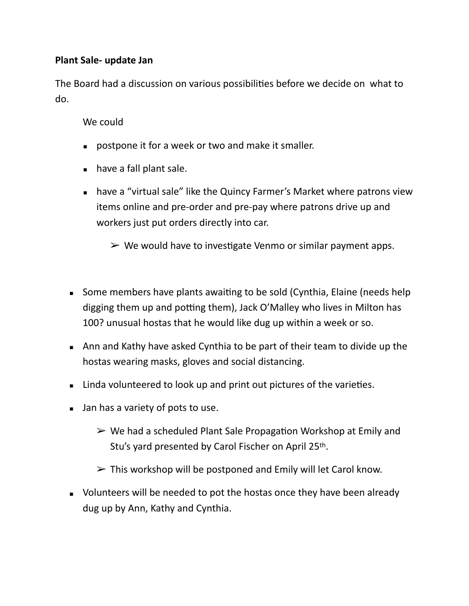# **Plant Sale- update Jan**

The Board had a discussion on various possibilities before we decide on what to do.

# We could

- **postpone it for a week or two and make it smaller.**
- have a fall plant sale.
- have a "virtual sale" like the Quincy Farmer's Market where patrons view items online and pre-order and pre-pay where patrons drive up and workers just put orders directly into car.
	- $\triangleright$  We would have to investigate Venmo or similar payment apps.
- Some members have plants awaiting to be sold (Cynthia, Elaine (needs help digging them up and potting them), Jack O'Malley who lives in Milton has 100? unusual hostas that he would like dug up within a week or so.
- Ann and Kathy have asked Cynthia to be part of their team to divide up the hostas wearing masks, gloves and social distancing.
- Linda volunteered to look up and print out pictures of the varieties.
- Jan has a variety of pots to use.
	- $\triangleright$  We had a scheduled Plant Sale Propagation Workshop at Emily and Stu's yard presented by Carol Fischer on April 25th.
	- $\triangleright$  This workshop will be postponed and Emily will let Carol know.
- Volunteers will be needed to pot the hostas once they have been already dug up by Ann, Kathy and Cynthia.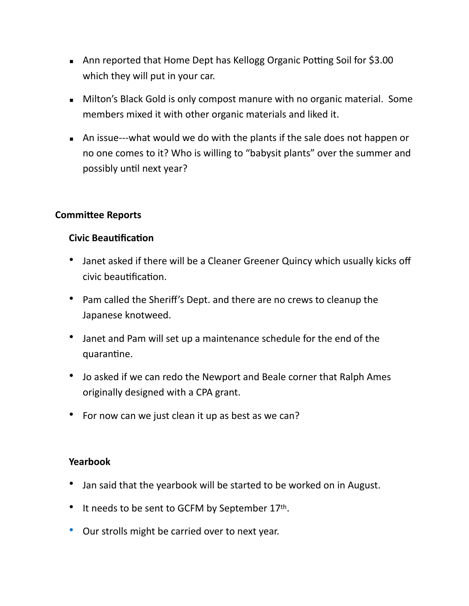- **Ann reported that Home Dept has Kellogg Organic Potting Soil for \$3.00** which they will put in your car.
- **EXEDENT Milton's Black Gold is only compost manure with no organic material. Some** members mixed it with other organic materials and liked it.
- An issue---what would we do with the plants if the sale does not happen or no one comes to it? Who is willing to "babysit plants" over the summer and possibly until next year?

## **Committee Reports**

#### **Civic Beautification**

- Janet asked if there will be a Cleaner Greener Quincy which usually kicks off civic beautification.
- Pam called the Sheriff's Dept. and there are no crews to cleanup the Japanese knotweed.
- Janet and Pam will set up a maintenance schedule for the end of the quarantine.
- Jo asked if we can redo the Newport and Beale corner that Ralph Ames originally designed with a CPA grant.
- For now can we just clean it up as best as we can?

## **Yearbook**

- Jan said that the yearbook will be started to be worked on in August.
- It needs to be sent to GCFM by September 17th.
- Our strolls might be carried over to next year.